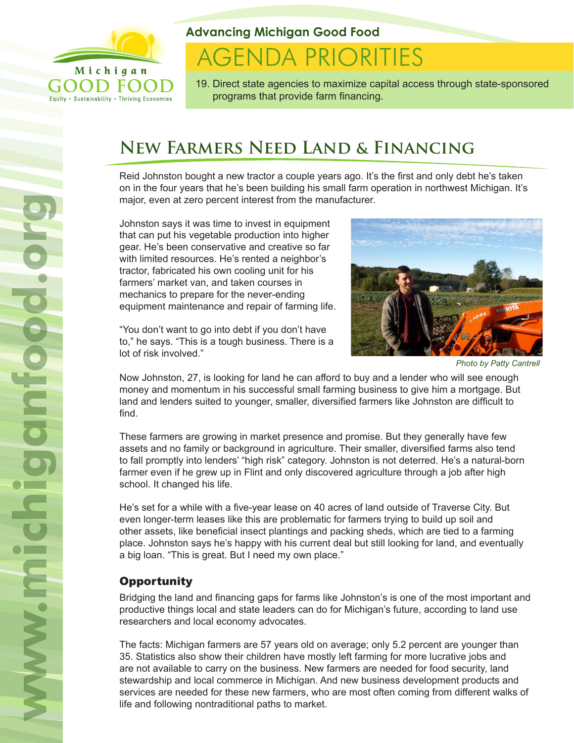

Equity . Sustainability . Thriving Economies

**Advancing Michigan Good Food**

# **AGENDA PRIORITIES**

19. Direct state agencies to maximize capital access through state-sponsored programs that provide farm financing.

# **New Farmers Need Land & Financing**

Reid Johnston bought a new tractor a couple years ago. It's the first and only debt he's taken on in the four years that he's been building his small farm operation in northwest Michigan. It's major, even at zero percent interest from the manufacturer.

Johnston says it was time to invest in equipment that can put his vegetable production into higher gear. He's been conservative and creative so far with limited resources. He's rented a neighbor's tractor, fabricated his own cooling unit for his farmers' market van, and taken courses in mechanics to prepare for the never-ending equipment maintenance and repair of farming life.

"You don't want to go into debt if you don't have to," he says. "This is a tough business. There is a lot of risk involved."



*Photo by Patty Cantrell*

Now Johnston, 27, is looking for land he can afford to buy and a lender who will see enough money and momentum in his successful small farming business to give him a mortgage. But land and lenders suited to younger, smaller, diversified farmers like Johnston are difficult to find.

These farmers are growing in market presence and promise. But they generally have few assets and no family or background in agriculture. Their smaller, diversified farms also tend to fall promptly into lenders' "high risk" category. Johnston is not deterred. He's a natural-born farmer even if he grew up in Flint and only discovered agriculture through a job after high school. It changed his life.

He's set for a while with a five-year lease on 40 acres of land outside of Traverse City. But even longer-term leases like this are problematic for farmers trying to build up soil and other assets, like beneficial insect plantings and packing sheds, which are tied to a farming place. Johnston says he's happy with his current deal but still looking for land, and eventually a big loan. "This is great. But I need my own place."

# **Opportunity**

Bridging the land and financing gaps for farms like Johnston's is one of the most important and productive things local and state leaders can do for Michigan's future, according to land use researchers and local economy advocates.

The facts: Michigan farmers are 57 years old on average; only 5.2 percent are younger than 35. Statistics also show their children have mostly left farming for more lucrative jobs and are not available to carry on the business. New farmers are needed for food security, land stewardship and local commerce in Michigan. And new business development products and services are needed for these new farmers, who are most often coming from different walks of life and following nontraditional paths to market.